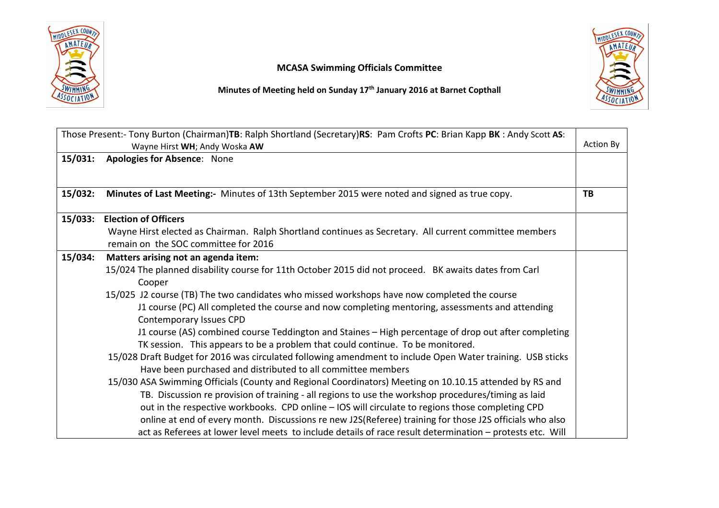

## MCASA Swimming Officials Committee

Minutes of Meeting held on Sunday 17<sup>th</sup> January 2016 at Barnet Copthall



| 15/031:<br><b>Apologies for Absence: None</b><br>Minutes of Last Meeting:- Minutes of 13th September 2015 were noted and signed as true copy.<br>15/032:<br>TB<br>15/033: Election of Officers<br>Wayne Hirst elected as Chairman. Ralph Shortland continues as Secretary. All current committee members<br>remain on the SOC committee for 2016<br>15/034:<br>Matters arising not an agenda item:<br>15/024 The planned disability course for 11th October 2015 did not proceed. BK awaits dates from Carl<br>Cooper<br>15/025 J2 course (TB) The two candidates who missed workshops have now completed the course<br>J1 course (PC) All completed the course and now completing mentoring, assessments and attending<br>Contemporary Issues CPD<br>J1 course (AS) combined course Teddington and Staines - High percentage of drop out after completing<br>TK session. This appears to be a problem that could continue. To be monitored.<br>15/028 Draft Budget for 2016 was circulated following amendment to include Open Water training. USB sticks<br>Have been purchased and distributed to all committee members<br>15/030 ASA Swimming Officials (County and Regional Coordinators) Meeting on 10.10.15 attended by RS and<br>TB. Discussion re provision of training - all regions to use the workshop procedures/timing as laid<br>out in the respective workbooks. CPD online - IOS will circulate to regions those completing CPD<br>online at end of every month. Discussions re new J2S(Referee) training for those J2S officials who also | Those Present:- Tony Burton (Chairman)TB: Ralph Shortland (Secretary)RS: Pam Crofts PC: Brian Kapp BK: Andy Scott AS:<br>Wayne Hirst WH; Andy Woska AW |                                                                                                           |  |
|-------------------------------------------------------------------------------------------------------------------------------------------------------------------------------------------------------------------------------------------------------------------------------------------------------------------------------------------------------------------------------------------------------------------------------------------------------------------------------------------------------------------------------------------------------------------------------------------------------------------------------------------------------------------------------------------------------------------------------------------------------------------------------------------------------------------------------------------------------------------------------------------------------------------------------------------------------------------------------------------------------------------------------------------------------------------------------------------------------------------------------------------------------------------------------------------------------------------------------------------------------------------------------------------------------------------------------------------------------------------------------------------------------------------------------------------------------------------------------------------------------------------------------------------------------------|--------------------------------------------------------------------------------------------------------------------------------------------------------|-----------------------------------------------------------------------------------------------------------|--|
|                                                                                                                                                                                                                                                                                                                                                                                                                                                                                                                                                                                                                                                                                                                                                                                                                                                                                                                                                                                                                                                                                                                                                                                                                                                                                                                                                                                                                                                                                                                                                             |                                                                                                                                                        |                                                                                                           |  |
|                                                                                                                                                                                                                                                                                                                                                                                                                                                                                                                                                                                                                                                                                                                                                                                                                                                                                                                                                                                                                                                                                                                                                                                                                                                                                                                                                                                                                                                                                                                                                             |                                                                                                                                                        |                                                                                                           |  |
|                                                                                                                                                                                                                                                                                                                                                                                                                                                                                                                                                                                                                                                                                                                                                                                                                                                                                                                                                                                                                                                                                                                                                                                                                                                                                                                                                                                                                                                                                                                                                             |                                                                                                                                                        |                                                                                                           |  |
|                                                                                                                                                                                                                                                                                                                                                                                                                                                                                                                                                                                                                                                                                                                                                                                                                                                                                                                                                                                                                                                                                                                                                                                                                                                                                                                                                                                                                                                                                                                                                             |                                                                                                                                                        |                                                                                                           |  |
|                                                                                                                                                                                                                                                                                                                                                                                                                                                                                                                                                                                                                                                                                                                                                                                                                                                                                                                                                                                                                                                                                                                                                                                                                                                                                                                                                                                                                                                                                                                                                             |                                                                                                                                                        |                                                                                                           |  |
|                                                                                                                                                                                                                                                                                                                                                                                                                                                                                                                                                                                                                                                                                                                                                                                                                                                                                                                                                                                                                                                                                                                                                                                                                                                                                                                                                                                                                                                                                                                                                             |                                                                                                                                                        |                                                                                                           |  |
|                                                                                                                                                                                                                                                                                                                                                                                                                                                                                                                                                                                                                                                                                                                                                                                                                                                                                                                                                                                                                                                                                                                                                                                                                                                                                                                                                                                                                                                                                                                                                             |                                                                                                                                                        |                                                                                                           |  |
|                                                                                                                                                                                                                                                                                                                                                                                                                                                                                                                                                                                                                                                                                                                                                                                                                                                                                                                                                                                                                                                                                                                                                                                                                                                                                                                                                                                                                                                                                                                                                             |                                                                                                                                                        |                                                                                                           |  |
|                                                                                                                                                                                                                                                                                                                                                                                                                                                                                                                                                                                                                                                                                                                                                                                                                                                                                                                                                                                                                                                                                                                                                                                                                                                                                                                                                                                                                                                                                                                                                             |                                                                                                                                                        |                                                                                                           |  |
|                                                                                                                                                                                                                                                                                                                                                                                                                                                                                                                                                                                                                                                                                                                                                                                                                                                                                                                                                                                                                                                                                                                                                                                                                                                                                                                                                                                                                                                                                                                                                             |                                                                                                                                                        |                                                                                                           |  |
|                                                                                                                                                                                                                                                                                                                                                                                                                                                                                                                                                                                                                                                                                                                                                                                                                                                                                                                                                                                                                                                                                                                                                                                                                                                                                                                                                                                                                                                                                                                                                             |                                                                                                                                                        |                                                                                                           |  |
|                                                                                                                                                                                                                                                                                                                                                                                                                                                                                                                                                                                                                                                                                                                                                                                                                                                                                                                                                                                                                                                                                                                                                                                                                                                                                                                                                                                                                                                                                                                                                             |                                                                                                                                                        |                                                                                                           |  |
|                                                                                                                                                                                                                                                                                                                                                                                                                                                                                                                                                                                                                                                                                                                                                                                                                                                                                                                                                                                                                                                                                                                                                                                                                                                                                                                                                                                                                                                                                                                                                             |                                                                                                                                                        |                                                                                                           |  |
|                                                                                                                                                                                                                                                                                                                                                                                                                                                                                                                                                                                                                                                                                                                                                                                                                                                                                                                                                                                                                                                                                                                                                                                                                                                                                                                                                                                                                                                                                                                                                             |                                                                                                                                                        |                                                                                                           |  |
|                                                                                                                                                                                                                                                                                                                                                                                                                                                                                                                                                                                                                                                                                                                                                                                                                                                                                                                                                                                                                                                                                                                                                                                                                                                                                                                                                                                                                                                                                                                                                             |                                                                                                                                                        |                                                                                                           |  |
|                                                                                                                                                                                                                                                                                                                                                                                                                                                                                                                                                                                                                                                                                                                                                                                                                                                                                                                                                                                                                                                                                                                                                                                                                                                                                                                                                                                                                                                                                                                                                             |                                                                                                                                                        |                                                                                                           |  |
|                                                                                                                                                                                                                                                                                                                                                                                                                                                                                                                                                                                                                                                                                                                                                                                                                                                                                                                                                                                                                                                                                                                                                                                                                                                                                                                                                                                                                                                                                                                                                             |                                                                                                                                                        |                                                                                                           |  |
|                                                                                                                                                                                                                                                                                                                                                                                                                                                                                                                                                                                                                                                                                                                                                                                                                                                                                                                                                                                                                                                                                                                                                                                                                                                                                                                                                                                                                                                                                                                                                             |                                                                                                                                                        | act as Referees at lower level meets to include details of race result determination - protests etc. Will |  |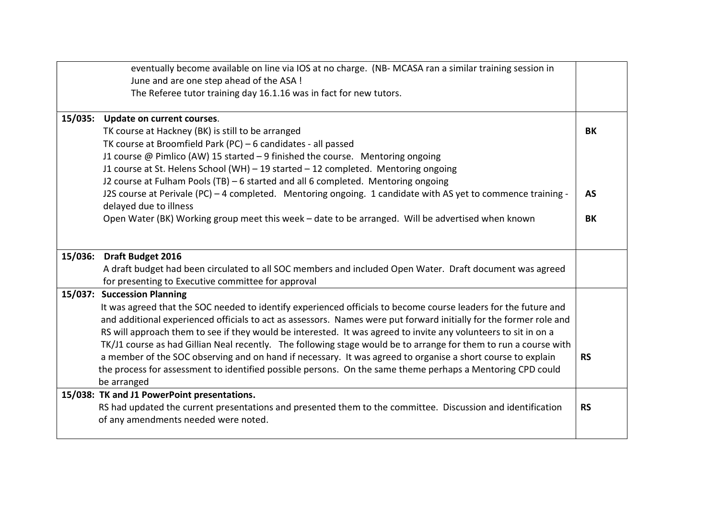|         | eventually become available on line via IOS at no charge. (NB-MCASA ran a similar training session in<br>June and are one step ahead of the ASA !   |           |
|---------|-----------------------------------------------------------------------------------------------------------------------------------------------------|-----------|
|         | The Referee tutor training day 16.1.16 was in fact for new tutors.                                                                                  |           |
|         | 15/035: Update on current courses.                                                                                                                  |           |
|         | TK course at Hackney (BK) is still to be arranged                                                                                                   | BK        |
|         | TK course at Broomfield Park (PC) - 6 candidates - all passed                                                                                       |           |
|         | J1 course @ Pimlico (AW) 15 started - 9 finished the course. Mentoring ongoing                                                                      |           |
|         | J1 course at St. Helens School (WH) - 19 started - 12 completed. Mentoring ongoing                                                                  |           |
|         | J2 course at Fulham Pools (TB) - 6 started and all 6 completed. Mentoring ongoing                                                                   |           |
|         | J2S course at Perivale (PC) - 4 completed. Mentoring ongoing. 1 candidate with AS yet to commence training -<br>delayed due to illness              | <b>AS</b> |
|         | Open Water (BK) Working group meet this week - date to be arranged. Will be advertised when known                                                   | BK        |
|         |                                                                                                                                                     |           |
| 15/036: | Draft Budget 2016                                                                                                                                   |           |
|         | A draft budget had been circulated to all SOC members and included Open Water. Draft document was agreed                                            |           |
|         | for presenting to Executive committee for approval                                                                                                  |           |
|         | 15/037: Succession Planning                                                                                                                         |           |
|         | It was agreed that the SOC needed to identify experienced officials to become course leaders for the future and                                     |           |
|         | and additional experienced officials to act as assessors. Names were put forward initially for the former role and                                  |           |
|         | RS will approach them to see if they would be interested. It was agreed to invite any volunteers to sit in on a                                     |           |
|         | TK/J1 course as had Gillian Neal recently. The following stage would be to arrange for them to run a course with                                    |           |
|         | a member of the SOC observing and on hand if necessary. It was agreed to organise a short course to explain                                         | <b>RS</b> |
|         | the process for assessment to identified possible persons. On the same theme perhaps a Mentoring CPD could                                          |           |
|         | be arranged                                                                                                                                         |           |
|         | 15/038: TK and J1 PowerPoint presentations.                                                                                                         |           |
|         | RS had updated the current presentations and presented them to the committee. Discussion and identification<br>of any amendments needed were noted. | <b>RS</b> |
|         |                                                                                                                                                     |           |